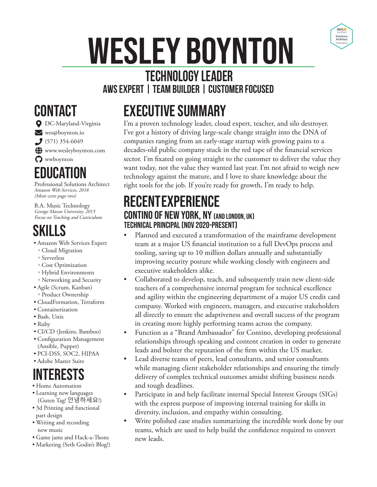# Wesley Boynton



#### **Technology Leader AWS Expert | Team Builder | Customer Focused**

## **CONTACT**

 $\bigcirc$  DC-Maryland-Virginia ves@boynton.io  $(571) 354-6049$  $\bigcirc$  www.wesleyboynton.com  $\boldsymbol{Q}$  wwboynton

EDUCAT

Professional Solutions Architect Amazon Web Services, 2018 (More certs page two)

B.A. Music Technology George Mason University, 2015 Focus on Teaching and Curriculum

## Skills

- Amazon Web Services Expert
- Cloud Migration
- Serverless
- Cost Optimization
- Hybrid Environments
- Networking and Security
- Agile (Scrum, Kanban) ◦ Product Ownership
- CloudFormation, Terraform
- Containerization
- Bash, Unix
- Ruby
- CI/CD (Jenkins, Bamboo)
- Configuration Management (Ansible, Puppet)
- PCI-DSS, SOC2, HIPAA
- Adobe Master Suite

## INTERESTS

- Home Automation
- Learning new languages (Guten Tag! 안녕하세요!)
- 3d Printing and functional part design
- Writing and recording new music
- Game jams and Hack-a-Thons
- Marketing (Seth Godin's Blog!)

# Executive Summary

I'm a proven technology leader, cloud expert, teacher, and silo destroyer. I've got a history of driving large-scale change straight into the DNA of companies ranging from an early-stage startup with growing pains to a decades-old public company stuck in the red tape of the financial services sector. I'm fixated on going straight to the customer to deliver the value they want today, not the value they wanted last year. I'm not afraid to weigh new technology against the mature, and I love to share knowledge about the right tools for the job. If you're ready for growth, I'm ready to help.

#### **RECENTEXPERIENCE** CONTINO OF NEW YORK, NY (AND LONDON, UK) Technical Principal (Nov 2020-Present)

- Planned and executed a transformation of the mainframe development team at a major US financial institution to a full DevOps process and tooling, saving up to 10 million dollars annually and substantially improving security posture while working closely with engineers and executive stakeholders alike.
- Collaborated to develop, teach, and subsequently train new client-side teachers of a comprehensive internal program for technical excellence and agility within the engineering department of a major US credit card company. Worked with engineers, managers, and executive stakeholders all directly to ensure the adaptiveness and overall success of the program in creating more highly performing teams across the company.
- Function as a "Brand Ambassador" for Contino, developing professional relationships through speaking and content creation in order to generate leads and bolster the reputation of the firm within the US market.
- Lead diverse teams of peers, lead consultants, and senior consultants while managing client stakeholder relationships and ensuring the timely delivery of complex technical outcomes amidst shifting business needs and tough deadlines.
- Participate in and help facilitate internal Special Interest Groups (SIGs) with the express purpose of improving internal training for skills in diversity, inclusion, and empathy within consulting.
- Write polished case studies summarizing the incredible work done by our teams, which are used to help build the confidence required to convert new leads.